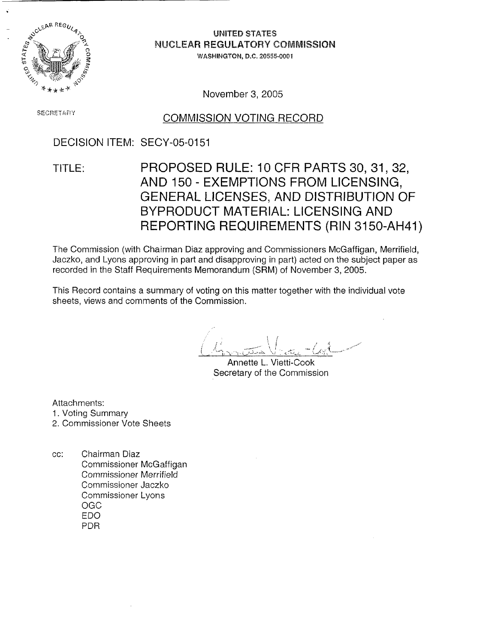

# **0 UNITED** STATES

WASHINGTON, D.C. 20555-0001

November 3, 2005

# **SECRETARY COMMISSION VOTING RECORD**

## DECISION ITEM: SECY-05-0151

# TITLE: PROPOSED RULE: 10 CFR PARTS 30, 31, 32, AND 150 - EXEMPTIONS FROM LICENSING, GENERAL LICENSES, AND DISTRIBUTION OF BYPRODUCT MATERIAL: LICENSING AND REPORTING REQUIREMENTS (RIN 3150-AH41)

The Commission (with Chairman Diaz approving and Commissioners McGaffigan, Merrifield, Jaczko, and Lyons approving in part and disapproving in part) acted on the subject paper as recorded in the Staff Requirements Memorandum (SRM) of November 3, 2005.

This Record contains a summary of voting on this matter together with the individual vote sheets, views and comments of the Commission.

Annette L. Vietti-Cook Secretary of the Commission

Attachments:

- 1. Voting Summary
- 2. Commissioner Vote Sheets
- cc: Chairman Diaz Commissioner McGaffigan Commissioner Merrifield Commissioner Jaczko Commissioner Lyons OGC EDO PDR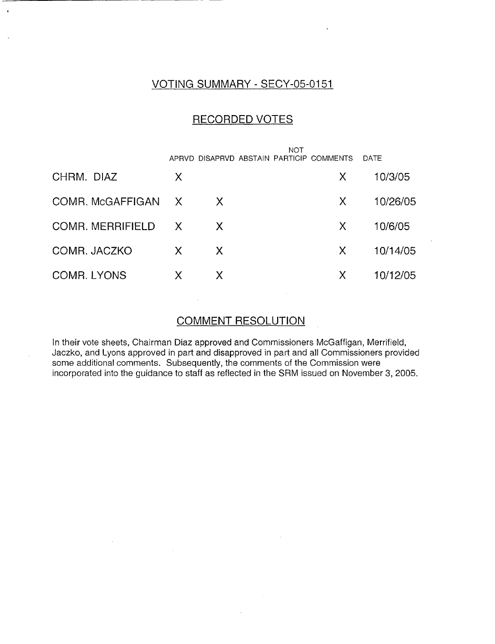## VOTING SUMMARY - SECY-05-0151

### RECORDED VOTES

|                         |              |    | NOT | APRVD DISAPRVD ABSTAIN PARTICIP COMMENTS | DATE     |
|-------------------------|--------------|----|-----|------------------------------------------|----------|
| CHRM. DIAZ              | X            |    |     | X                                        | 10/3/05  |
| COMR. McGAFFIGAN X      |              | X  |     | X.                                       | 10/26/05 |
| <b>COMR. MERRIFIELD</b> | $\mathsf{X}$ | X  |     | X                                        | 10/6/05  |
| COMR. JACZKO            | X            | X. |     | X                                        | 10/14/05 |
| COMR. LYONS             | X            | X  |     | X                                        | 10/12/05 |

## COMMENT RESOLUTION

In their vote sheets, Chairman Diaz approved and Commissioners McGaffigan, Merrifield, Jaczko, and Lyons approved in part and disapproved in part and all Commissioners provided some additional comments. Subsequently, the comments of the Commission were incorporated into the guidance to staff as reflected in the SRM issued on November 3, 2005.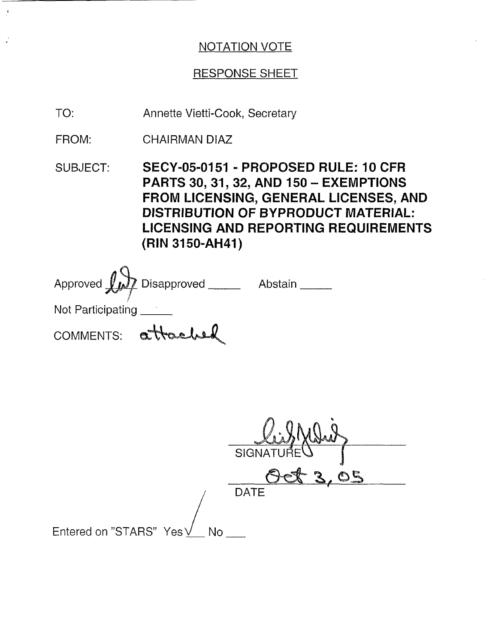# RESPONSE SHEET

Annette Vietti-Cook, Secretary TO:

CHAIRMAN DIAZ FROM:

 $\ddot{\rm s}$ 

SUBJECT: SECY-05-0151 - PROPOSED RULE: 10 CFR PARTS 30, **31, 32,** AND 150 - EXEMPTIONS FROM LICENSING, GENERAL LICENSES, AND DISTRIBUTION OF BYPRODUCT MATERIAL: LICENSING AND REPORTING REQUIREMENTS (RIN 3150-AH41)

|                    | Approved $\overrightarrow{L}$ Disapproved | Abstain |
|--------------------|-------------------------------------------|---------|
| Not Participating  |                                           |         |
| COMMENTS: attached |                                           |         |

|                                | SIGNATURE   |
|--------------------------------|-------------|
|                                | eric<br>◚   |
|                                | <b>DATE</b> |
|                                |             |
| Entered on "STARS" Yes \<br>No |             |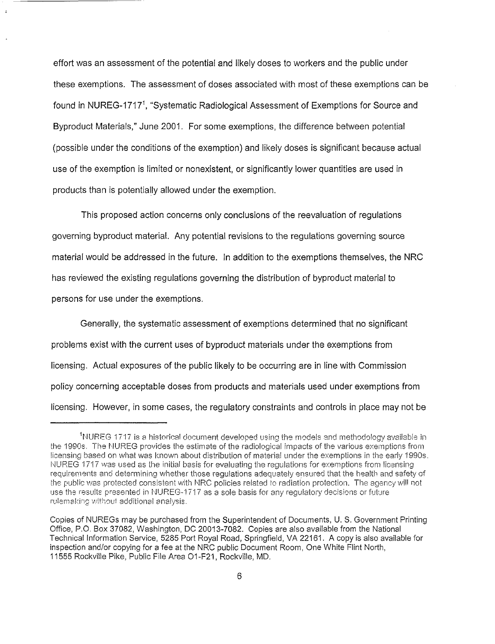effort was an assessment of the potential and likely doses to workers and the public under these exemptions. The assessment of doses associated with most of these exemptions can be found in NUREG-1717<sup>1</sup>, "Systematic Radiological Assessment of Exemptions for Source and Byproduct Materials," June 2001. For some exemptions, the difference between potential (possible under the conditions of the exemption) and likely doses is significant because actual use of the exemption is limited or nonexistent, or significantly lower quantities are used in products than is potentially allowed under the exemption.

This proposed action concerns only conclusions of the reevaluation of regulations governing byproduct material. Any potential revisions to the regulations governing source material would be addressed in the future. In addition to the exemptions themselves, the NRC has reviewed the existing regulations governing the distribution of byproduct material to persons for use under the exemptions.

Generally, the systematic assessment of exemptions determined that no significant problems exist with the current uses of byproduct materials under the exemptions from licensing. Actual exposures of the public likely to be occurring are in line with Commission policy concerning acceptable doses from products and materials used under exemptions from licensing. However, in some cases, the regulatory constraints and controls in place may not be

 $^{\rm 1}$ NUREG 1717 is a historical document developed using the models and methodology available in the 1990s. The NUREG provides the estimate of the radiological impacts of the various exemptions from licensing based on what was known about distribution of material under the exemptions in the early 1990s. NUREG 1717 was used as the initial basis for evaluating the regulations for exemptions from licensing requirements and determining whether those regulations adequately ensured that the health and safety of the public was protected consistent with NRC policies related to radiation protection. The agency will not use the results presented in NUREG-1717 as a sole basis for any regulatory decisions or future rulemaking without additional analysis.

Copies of NUREGs may be purchased from the Superintendent of Documents, U. S. Government Printing Office, P.O. Box 37082, Washington, DC 20013-7082. Copies are also available from the National Technical Information Service, 5285 Port Royal Road, Springfield, VA 22161. A copy is also available for inspection and/or copying for a fee at the NRC public Document Room, One White Flint North, 11555 Rockville Pike, Public File Area 01 -F21, Rockville, MD.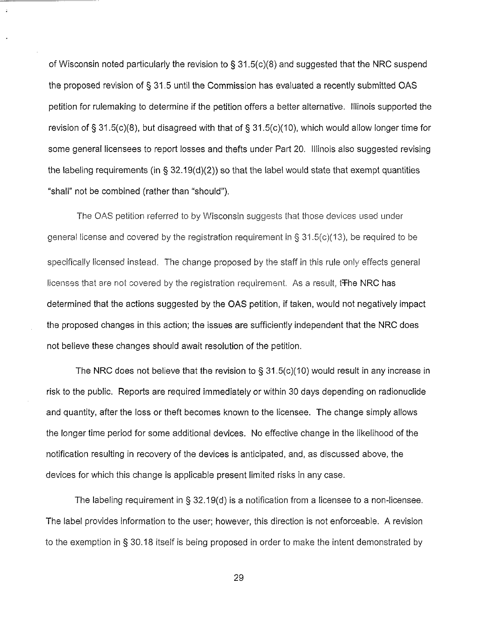of Wisconsin noted particularly the revision to § 31.5(c)(8) and suggested that the NRC suspend the proposed revision of § 31.5 until the Commission has evaluated a recently submitted OAS petition for rulemaking to determine if the petition offers a better alternative. Illinois supported the revision of § 31 .5(c)(8), but disagreed with that of § 31 .5(c)(1 0), which would allow longer time for some general licensees to report losses and thefts under Part 20. Illinois also suggested revising the labeling requirements (in § 32.19(d)(2)) so that the label would state that exempt quantities "shall" not be combined (rather than "should").

The OAS petition referred to by Wisconsin suggests that those devices used under general license and covered by the registration requirement in § 31 .5(c)(13), be required to be specifically licensed instead. The change proposed by the staff in this rule only effects general licenses that are not covered by the registration requirement. As a result, the NRC has determined that the actions suggested by the OAS petition, if taken, would not negatively impact the proposed changes in this action; the issues are sufficiently independent that the NRC does not believe these changes should await resolution of the petition.

The NRC does not believe that the revision to § 31.5(c)(10) would result in any increase in risk to the public. Reports are required immediately or within 30 days depending on radionuclide and quantity, after the loss or theft becomes known to the licensee. The change simply allows the longer time period for some additional devices. No effective change in the likelihood of the notification resulting in recovery of the devices is anticipated, and, as discussed above, the devices for which this change is applicable present limited risks in any case.

The labeling requirement in § 32.19(d) is a notification from a licensee to a non-licensee. The label provides information to the user; however, this direction is not enforceable. A revision to the exemption in § 30.18 itself is being proposed in order to make the intent demonstrated by

29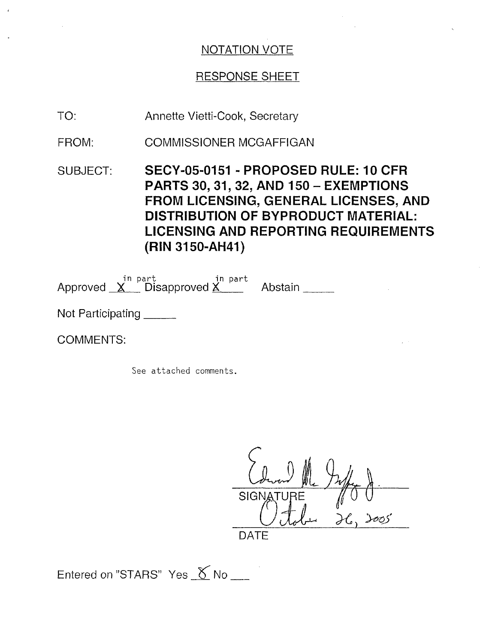## RESPONSE SHEET

- Annette Vietti-Cook, Secretary TO:
- COMMISSIONER MCGAFFIGAN FROM:
- SUBJECT: **SECY-05-0151 PROPOSED RULE: 10 CFR PARTS 30, 31, 32, AND 150** - **EXEMPTIONS FROM LICENSING, GENERAL LICENSES, AND DISTRIBUTION OF BYPRODUCT MATERIAL: LICENSING AND REPORTING REQUIREMENTS (RIN 3150-AH41)**

in part in part Approved X Disapproved X Abstair

Not Participating

COMMENTS:

See attached comments.

*IL*  $SIGN$ 

DATE

Entered on "STARS" Yes  $\chi$  No  $\chi$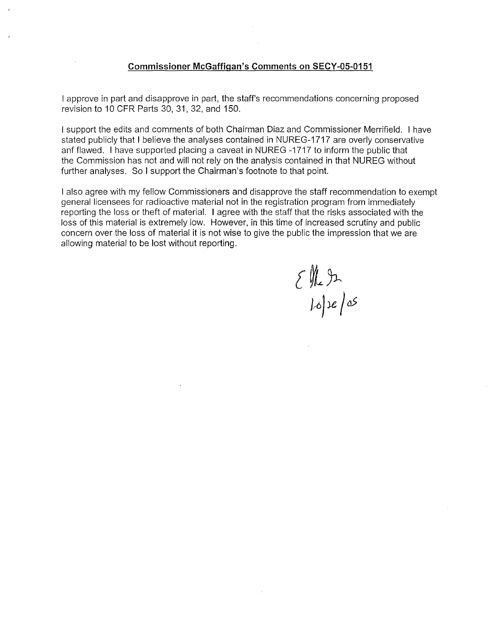#### **Commissioner McGaffigan's Comments on SECY-05-0151**

I approve in part and disapprove in part, the staff's recommendations concerning proposed revision to 10 CFR Parts 30, 31, 32, and 150.

I support the edits and comments of both Chairman Diaz and Commissioner Merrifield. I have stated publicly that I believe the analyses contained in NUREG-1717 are overly conservative anf flawed. I have supported placing a caveat in NUREG -1717 to inform the public that the Commission has not and will not rely on the analysis contained in that NUREG without further analyses. So I support the Chairman's footnote to that point.

I also agree with my fellow Commissioners and disapprove the staff recommendation to exempt general licensees for radioactive material not in the registration program from immediately reporting the loss or theft of material. I agree with the staff that the risks associated with the loss of this material is extremely low. However, in this time of increased scrutiny and public concern over the loss of material it is not wise to give the public the impression that we are allowing material to be lost without reporting.

 $\left\{\begin{array}{l}\mathcal{W}_{2}\rightarrow\mathcal{W}_{1}\text{ is a }\mathcal{W}_{2}\text{ is a }\mathcal{W}_{1}\text{ is a }\mathcal{W}_{2}\end{array}\right.$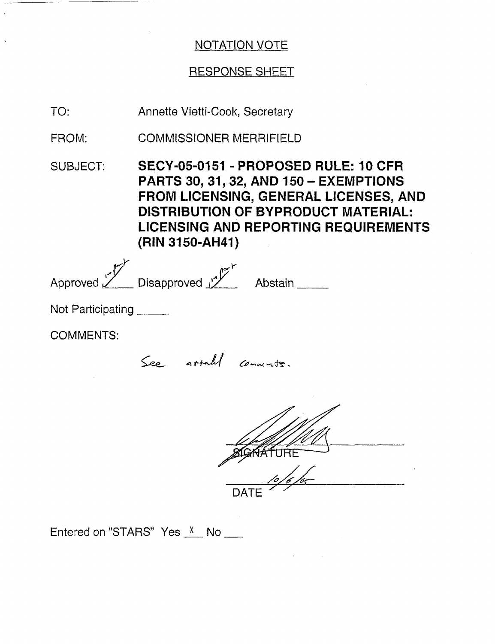## RESPONSE SHEET

Annette Vietti-Cook, Secretary TO:

COMMISSIONER MERRIFIELD FROM:

SUBJECT: SECY-05-0151 - PROPOSED RULE: 10 CFR PARTS **30, 31, 32,** AND 150- EXEMPTIONS FROM LICENSING, GENERAL LICENSES, AND DISTRIBUTION OF BYPRODUCT MATERIAL: LICENSING AND REPORTING REQUIREMENTS (RIN 3150-AH41)

| بمماه             | سمحه                       |         |
|-------------------|----------------------------|---------|
| Approved $\angle$ | Disapproved $\mathcal{V}'$ | Abstain |

Not Participating

COMMENTS:

See atta**h/** comments.

**SGKATURE** DATE

Entered on "STARS" Yes  $X$  No  $\qquad$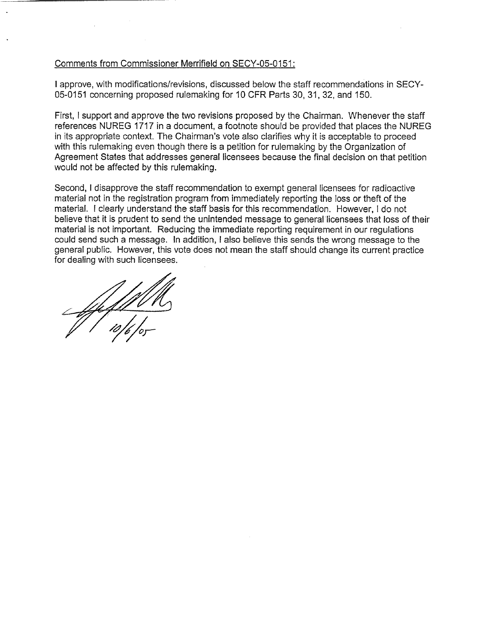#### Comments from Commissioner Merrifield on SECY-05-0151:

I approve, with modifications/revisions, discussed below the staff recommendations in SECY-05-0151 concerning proposed rulemaking for 10 CFR Parts 30, 31, 32, and 150.

First, I support and approve the two revisions proposed by the Chairman. Whenever the staff references NUREG 1717 in a document, a footnote should be provided that places the NUREG in its appropriate context. The Chairman's vote also clarifies why it is acceptable to proceed with this rulemaking even though there is a petition for rulemaking by the Organization of Agreement States that addresses general licensees because the final decision on that petition would not be affected by this rulemaking.

Second, I disapprove the staff recommendation to exempt general licensees for radioactive material not in the registration program from immediately reporting the loss or theft of the material. I clearly understand the staff basis for this recommendation. However, I do not believe that it is prudent to send the unintended message to general licensees that loss of their material is not important. Reducing the immediate reporting requirement in our regulations could send such a message. In addition, I also believe this sends the wrong message to the general public. However, this vote does not mean the staff should change its current practice for dealing with such licensees.

 $\frac{1}{2}$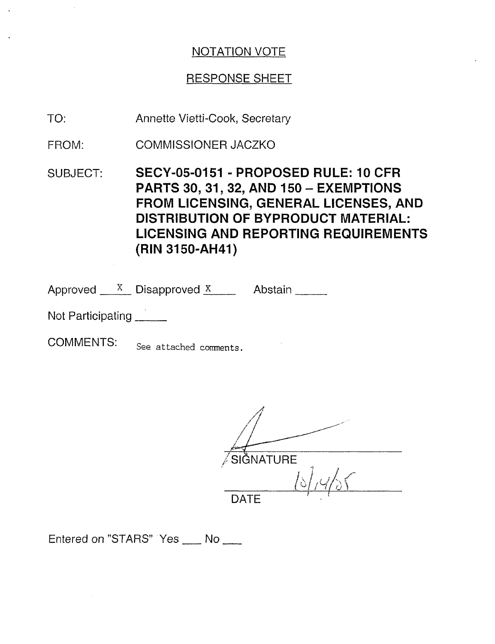## RESPONSE SHEET

- Annette Vietti-Cook, Secretary TO:
- COMMISSIONER JACZKO FROM:
- SUBJECT: SECY-05-0151 PROPOSED RULE: 10 CFR PARTS **30, 31, 32,** AND 150- EXEMPTIONS FROM LICENSING, GENERAL LICENSES, AND DISTRIBUTION OF BYPRODUCT MATERIAL: LICENSING AND REPORTING REQUIREMENTS (RIN 3150-AH41)

Approved  $X$  Disapproved  $X$  Abstain

Not Participating

COMMENTS: See attached comments.

SIGNATURE l  $\rightarrow$  the  $\prec$ / *//ul (* DATE

Entered on "STARS" Yes \_\_ No \_\_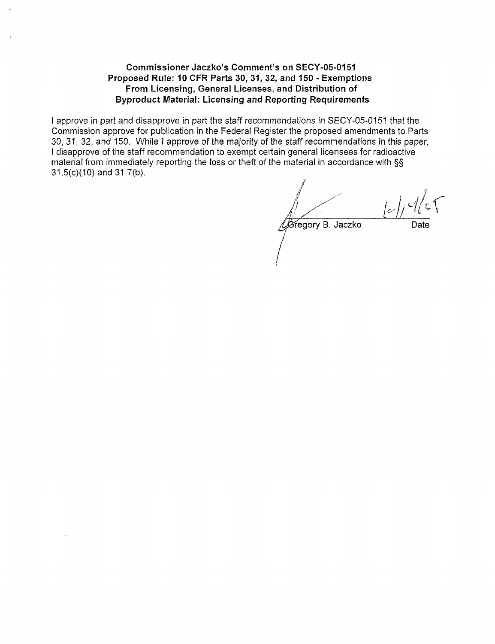#### **Commissioner Jaczko's Comment's on SECY-05-0151 Proposed Rule: 10 CFR Parts 30, 31, 32, and 150 - Exemptions From Licensing, General Licenses, and Distribution of Byproduct Material: Licensing and Reporting Requirements**

**I** approve in part and disapprove in part the staff recommendations in SECY-05-0151 that the Commission approve for publication in the Federal Register the proposed amendments to Parts 30, 31, 32, and 150. While I approve of the majority of the staff recommendations in this paper, I disapprove of the staff recommendation to exempt certain general licensees for radioactive material from immediately reporting the loss or theft of the material in accordance with §§ 31.5(c)(10) and 31.7(b).

Gregory B. Jaczko Date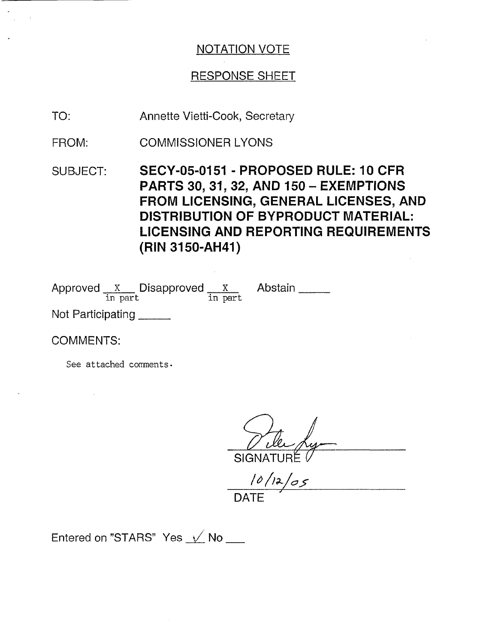## RESPONSE SHEET

- Annette Vietti-Cook, Secretary TO:
- COMMISSIONER LYONS FROM:
- SUBJECT: **SECY-05-0151 PROPOSED RULE: 10 CFR PARTS 30, 31, 32, AND 150** - **EXEMPTIONS FROM LICENSING, GENERAL LICENSES, AND DISTRIBUTION OF BYPRODUCT MATERIAL: LICENSING AND REPORTING REQUIREMENTS (RIN** 3150-AH41)

Abstain

Approved  $\frac{X}{\text{ in part}}$  Disapproved  $\frac{X}{\text{ in part}}$ 

Not Participating

COMMENTS:

See attached comments.

SIGNATURE.

 $10/12/05$ DATE

Entered on "STARS" Yes *V* No \_\_\_